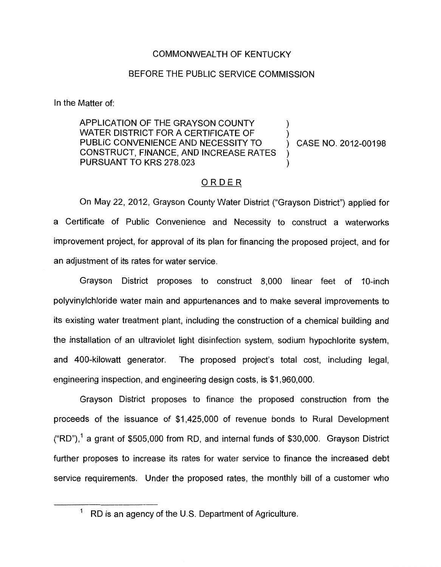## COMMONWEALTH OF KENTUCKY

## BEFORE THE PUBLIC SERVICE COMMISSION

In the Matter of:

APPLICATION OF THE GRAYSON COUNTY WATER DISTRICT FOR A CERTIFICATE OF PUBLIC CONVENIENCE AND NECESSITY TO (CASE NO. 2012-00198 CONSTRUCT, FINANCE, AND INCREASE RATES  $\sum_{i=1}^{n}$  $\sum_{i=1}^{n}$ PURSUANT TO KRS 278.023  $\sum_{i=1}^{n}$ 

# ORDER

On May 22, 2012, Grayson County Water District ("Grayson District") applied for a Certificate of Public Convenience and Necessity to construct a waterworks improvement project, for approval of its plan for financing the proposed project, and for an adjustment of its rates for water service.

Grayson District proposes to construct 8,000 linear feet of IO-inch polyvinylchloride water main and appurtenances and to make several improvements to its existing water treatment plant, including the construction of a chemical building and the installation of an ultraviolet light disinfection system, sodium hypochlorite system, and 400-kilowatt generator. The proposed project's total cost, including legal, engineering inspection, and engineering design costs, is \$1,960,000.

Grayson District proposes to finance the proposed construction from the proceeds of the issuance of \$1,425,000 of revenue bonds to Rural Development  $("RD")$ , a grant of \$505,000 from RD, and internal funds of \$30,000. Grayson District further proposes to increase its rates for water service to finance the increased debt service requirements. Under the proposed rates, the monthly bill of a customer who

RD is an agency of the U.S. Department of Agriculture.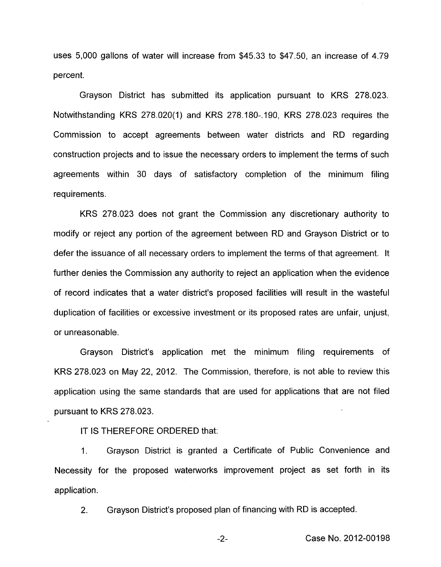uses 5,000 gallons of water will increase from \$45.33 to \$47.50, an increase of 4.79 percent.

Grayson District has submitted its application pursuant to KRS 278.023. Notwithstanding KRS 278.020(1) and KRS 278.180-. 190, KRS 278.023 requires the Commission to accept agreements between water districts and RD regarding construction projects and to issue the necessary orders to implement the terms of such agreements within 30 days of satisfactory completion of the minimum filing requirements.

KRS 278.023 does not grant the Commission any discretionary authority to modify or reject any portion of the agreement between RD and Grayson District or to defer the issuance of all necessary orders to implement the terms of that agreement. It further denies the Commission any authority to reject an application when the evidence of record indicates that a water district's proposed facilities will result in the wasteful duplication of facilities or excessive investment or its proposed rates are unfair, unjust, or unreasonable.

Grayson District's application met the minimum filing requirements of KRS 278.023 on May 22, 2012. The Commission, therefore, is not able to review this application using the same standards that are used for applications that are not filed pursuant to KRS 278.023.

IT IS THEREFORE ORDERED that:

1. Grayson District is granted a Certificate of Public Convenience and Necessity for the proposed waterworks improvement project as set forth in its application.

2. Grayson District's proposed plan of financing with RD is accepted.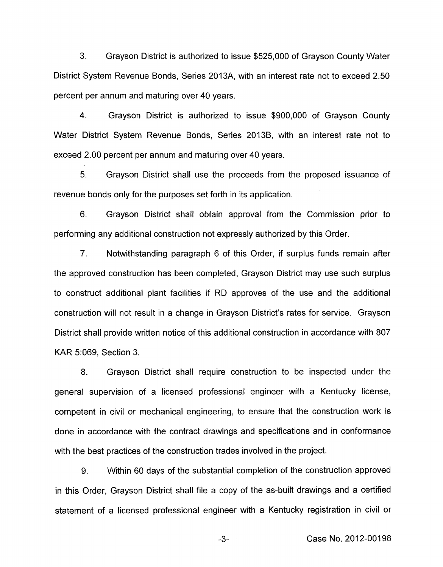3. Grayson District is authorized to issue \$525,000 of Grayson County Water District System Revenue Bonds, Series 2013A, with an interest rate not to exceed 2.50 percent per annum and maturing over 40 years.

**4.** Grayson District is authorized to issue \$900,000 of Grayson County Water District System Revenue Bonds, Series 2013B, with an interest rate not to exceed 2.00 percent per annum and maturing over 40 years.

5. Grayson District shall use the proceeds from the proposed issuance of revenue bonds only for the purposes set forth in its application.

6. Grayson District shall obtain approval from the Commission prior to performing any additional construction not expressly authorized by this Order.

7. Notwithstanding paragraph 6 of this Order, if surplus funds remain after the approved construction has been completed, Grayson District may use such surplus to construct additional plant facilities if RD approves of the use and the additional construction will not result in a change in Grayson District's rates for service. Grayson District shall provide written notice of this additional construction in accordance with 807 KAR 5:069, Section 3.

8. Grayson District shall require construction to be inspected under the general supervision of a licensed professional engineer with a Kentucky license, competent in civil or mechanical engineering, to ensure that the construction work is done in accordance with the contract drawings and specifications and in conformance with the best practices of the construction trades involved in the project.

9. Within 60 days of the substantial completion of the construction approved in this Order, Grayson District shall file a copy of the as-built drawings and a certified statement of a licensed professional engineer with a Kentucky registration in civil or

-3- Case No. 2012-00198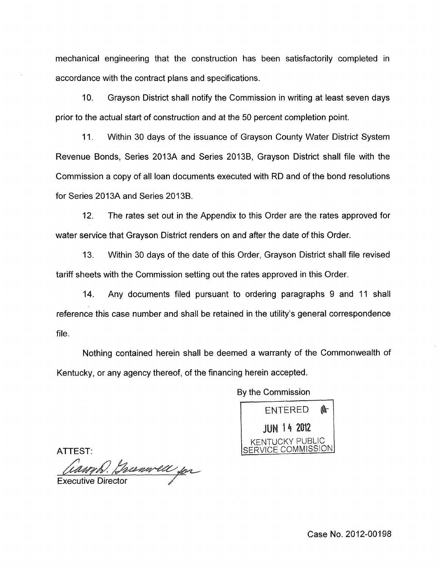mechanical engineering that the construction has been satisfactorily completed in accordance with the contract plans and specifications.

IO. Grayson District shall notify the Commission in writing at least seven days prior to the actual start of construction and at the 50 percent completion point.

11. Within 30 days of the issuance of Grayson County Water District System Revenue Bonds, Series 2013A and Series 2013B, Grayson District shall file with the Commission a copy of all loan documents executed with RD and of the bond resolutions for Series 2013A and Series 2013B.

12. The rates set out in the Appendix to this Order are the rates approved for water service that Grayson District renders on and after the date of this Order.

13. Within 30 days of the date of this Order, Grayson District shall file revised tariff sheets with the Commission setting out the rates approved in this Order.

14. Any documents filed pursuant to ordering paragraphs 9 and 11 shall reference this case number and shall be retained in the utility's general correspondence file.

Nothing contained herein shall be deemed a warranty of the Commonwealth of Kentucky, or any agency thereof, of the financing herein accepted.

By the Commission



**Executive Director** 

Case No. 2012-00198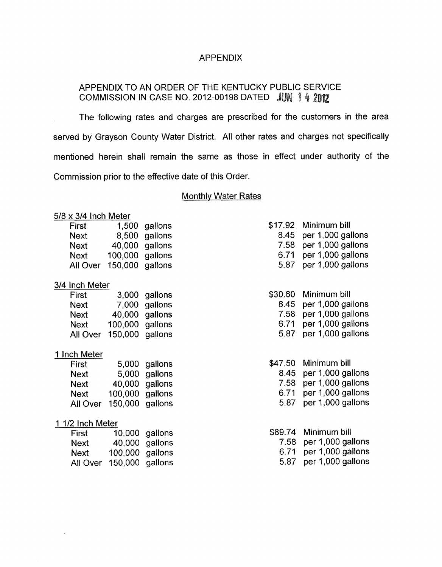## APPENDIX

# APPENDIX TO AN ORDER OF THE KENTUCKY PUBLIC SERVICE COMMISSION IN CASE NO. 2012-00198 DATED JUN 1 4 2012

The following rates and charges are prescribed for the customers in the area served by Grayson County Water District. All other rates and charges not specifically mentioned herein shall remain the same as those in effect under authority of the Commission prior to the effective date of this Order.

## Monthly Water Rates

#### 5/8 x 3/4 Inch Meter

| First       |                 | 1,500 gallons  |
|-------------|-----------------|----------------|
| <b>Next</b> |                 | 8,500 gallons  |
| Next        |                 | 40,000 gallons |
| Next        | 100,000 gallons |                |
| All Over    | 150,000 gallons |                |

#### 3/4 Inch Meter

| First       |                 | 3,000 gallons  |
|-------------|-----------------|----------------|
| <b>Next</b> |                 | 7,000 gallons  |
| Next        |                 | 40,000 gallons |
| Next        | 100,000 gallons |                |
| All Over    | 150,000 gallons |                |

## 1 Inch Meter

| First       |                 | 5,000 gallons  |
|-------------|-----------------|----------------|
| <b>Next</b> |                 | 5,000 gallons  |
| <b>Next</b> |                 | 40,000 gallons |
| Next        | 100,000         | gallons        |
| All Over    | 150,000 gallons |                |

## 1 1/2 Inch Meter

 $\bar{x}$ 

| First       |                 | 10,000 gallons |
|-------------|-----------------|----------------|
| <b>Next</b> |                 | 40,000 gallons |
| Next        | 100,000 gallons |                |
| All Over    | 150,000 gallons |                |

|      | \$17.92 Minimum bill |
|------|----------------------|
| 8.45 | per 1,000 gallons    |
| 7.58 | per 1,000 gallons    |
| 6.71 | per 1,000 gallons    |
| 5.87 | per 1,000 gallons    |

| \$30.60 Minimum bill |  |
|----------------------|--|
|                      |  |

|  |  | 8.45 per 1,000 gallons |  |
|--|--|------------------------|--|
|  |  |                        |  |

|       |          | 7.58 per 1,000 gallons |
|-------|----------|------------------------|
| - - - | $\cdots$ |                        |

6.71 per 1,000 gallons 5.87 per 1,000 gallons

- \$47.50 Minimum bill
	- 8.45 per 1,000 gallons
	- 7.58 per 1,000 gallons
	- 6.71 per 1,000 gallons
	- 5.87 per 1,000 gallons

|      | \$89.74 Minimum bill   |
|------|------------------------|
|      | 7.58 per 1,000 gallons |
| 6.71 | per 1,000 gallons      |
| 5.87 | per 1,000 gallons      |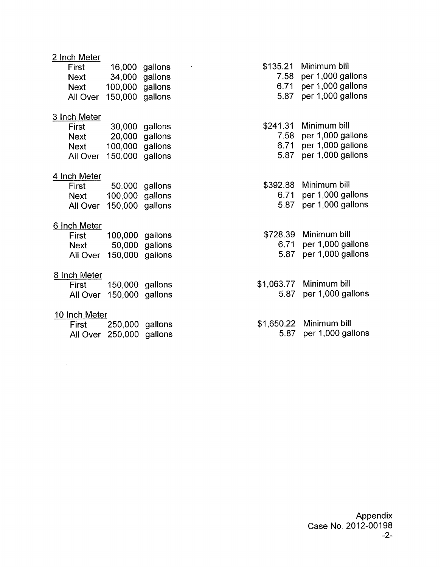| 2 Inch Meter  |                 |                |            |                   |
|---------------|-----------------|----------------|------------|-------------------|
| First         | 16,000          | gallons        | \$135.21   | Minimum bill      |
| <b>Next</b>   |                 | 34,000 gallons | 7.58       | per 1,000 gallons |
| <b>Next</b>   | 100,000 gallons |                | 6.71       | per 1,000 gallons |
| All Over      | 150,000 gallons |                | 5.87       | per 1,000 gallons |
| 3 Inch Meter  |                 |                |            |                   |
| First         |                 | 30,000 gallons | \$241.31   | Minimum bill      |
| <b>Next</b>   |                 | 20,000 gallons | 7.58       | per 1,000 gallons |
| <b>Next</b>   | 100,000 gallons |                | 6.71       | per 1,000 gallons |
| All Over      | 150,000 gallons |                | 5.87       | per 1,000 gallons |
| 4 Inch Meter  |                 |                |            |                   |
| First         |                 | 50,000 gallons | \$392.88   | Minimum bill      |
| Next          | 100,000 gallons |                | 6.71       | per 1,000 gallons |
| All Over      | 150,000 gallons |                | 5.87       | per 1,000 gallons |
| 6 Inch Meter  |                 |                |            |                   |
| First         | 100,000 gallons |                | \$728.39   | Minimum bill      |
| Next          |                 | 50,000 gallons | 6.71       | per 1,000 gallons |
| All Over      | 150,000 gallons |                | 5.87       | per 1,000 gallons |
| 8 Inch Meter  |                 |                |            |                   |
| First         | 150,000 gallons |                | \$1,063.77 | Minimum bill      |
| All Over      | 150,000         | gallons        | 5.87       | per 1,000 gallons |
| 10 Inch Meter |                 |                |            |                   |
|               |                 |                |            |                   |

| First | 250,000 gallons          |  |
|-------|--------------------------|--|
|       | All Over 250,000 gallons |  |

 $\mathcal{A}^{\mathcal{A}}$ 

Appendix Case No. 2012-00198

\$1,650.22 Minimum bill

5.87 per 1,000 gallons